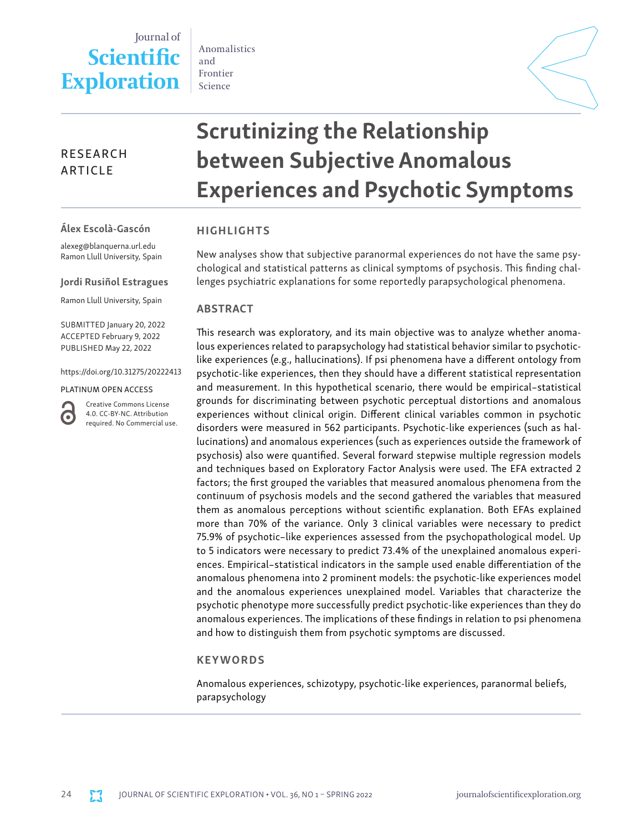## Journal of **Scientific Exploration**

Anomalistics and Frontier Science

### RESEARCH ARTICLE

# Scrutinizing the Relationship between Subjective Anomalous Experiences and Psychotic Symptoms

#### Álex Escolà-Gascón

alexeg@blanquerna.url.edu Ramon Llull University, Spain

#### Jordi Rusiñol Estragues

Ramon Llull University, Spain

SUBMITTED January 20, 2022 ACCEPTED February 9, 2022 PUBLISHED May 22, 2022

https://doi.org/10.31275/20222413

#### PLATINUM OPEN ACCESS

Creative Commons License 4.0. CC-BY-NC. Attribution required. No Commercial use.

G

#### HIGHLIGHTS

New analyses show that subjective paranormal experiences do not have the same psychological and statistical patterns as clinical symptoms of psychosis. This finding challenges psychiatric explanations for some reportedly parapsychological phenomena.

#### ABSTRACT

This research was exploratory, and its main objective was to analyze whether anomalous experiences related to parapsychology had statistical behavior similar to psychoticlike experiences (e.g., hallucinations). If psi phenomena have a different ontology from psychotic-like experiences, then they should have a different statistical representation and measurement. In this hypothetical scenario, there would be empirical–statistical grounds for discriminating between psychotic perceptual distortions and anomalous experiences without clinical origin. Different clinical variables common in psychotic disorders were measured in 562 participants. Psychotic-like experiences (such as hallucinations) and anomalous experiences (such as experiences outside the framework of psychosis) also were quantified. Several forward stepwise multiple regression models and techniques based on Exploratory Factor Analysis were used. The EFA extracted 2 factors; the first grouped the variables that measured anomalous phenomena from the continuum of psychosis models and the second gathered the variables that measured them as anomalous perceptions without scientific explanation. Both EFAs explained more than 70% of the variance. Only 3 clinical variables were necessary to predict 75.9% of psychotic–like experiences assessed from the psychopathological model. Up to 5 indicators were necessary to predict 73.4% of the unexplained anomalous experiences. Empirical–statistical indicators in the sample used enable differentiation of the anomalous phenomena into 2 prominent models: the psychotic-like experiences model and the anomalous experiences unexplained model. Variables that characterize the psychotic phenotype more successfully predict psychotic-like experiences than they do anomalous experiences. The implications of these findings in relation to psi phenomena and how to distinguish them from psychotic symptoms are discussed.

#### KEYWORDS

Anomalous experiences, schizotypy, psychotic-like experiences, paranormal beliefs, parapsychology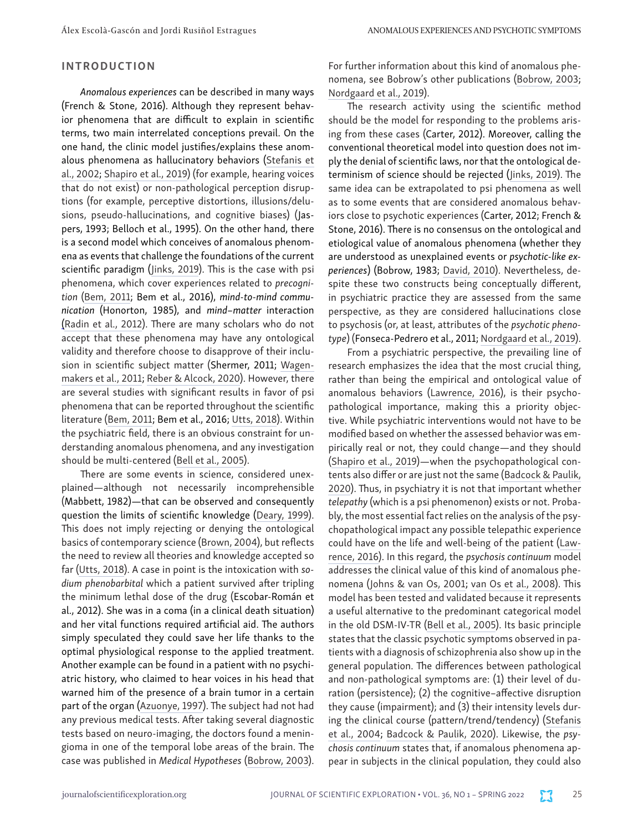#### INTRODUCTION

*Anomalous experiences* can be described in many ways (French & Stone, 2016). Although they represent behavior phenomena that are difficult to explain in scientific terms, two main interrelated conceptions prevail. On the one hand, the clinic model justifies/explains these anomalous phenomena as hallucinatory behaviors ([Stefanis et](https://doi.org/10.1017/s0033291701005141) [al., 2002](https://doi.org/10.1017/s0033291701005141); [Shapiro et al., 2019](https://doi.org/10.1007/978-3-030-17336-4_2)) (for example, hearing voices that do not exist) or non-pathological perception disruptions (for example, perceptive distortions, illusions/delusions, pseudo-hallucinations, and cognitive biases) (Jaspers, 1993; Belloch et al., 1995). On the other hand, there is a second model which conceives of anomalous phenomena as events that challenge the foundations of the current scientific paradigm ([Jinks, 2019](https://doi.org/10.1007/978-3-030-28902-7)). This is the case with psi phenomena, which cover experiences related to *precognition* [\(Bem, 2011](https://doi.org/10.1037/a0021524); Bem et al., 2016), *mind-to-mind communication* (Honorton, 1985), and *mind–matter* interaction [\(Radin et al., 2012](https://doi.org/10.4006/0836-1398-25.2.157)). There are many scholars who do not accept that these phenomena may have any ontological validity and therefore choose to disapprove of their inclusion in scientific subject matter (Shermer, 2011; [Wagen](https://doi.org/10.1037/a0022790)[makers et al., 2011](https://doi.org/10.1037/a0022790); [Reber & Alcock, 2020](https://doi.org/10.1037/amp0000486)). However, there are several studies with significant results in favor of psi phenomena that can be reported throughout the scientific literature [\(Bem, 2011](https://doi.org/10.1037/a0021524); Bem et al., 2016; [Utts, 2018\)](http://doi.org/10.30891/jopar.2018S.01.10). Within the psychiatric field, there is an obvious constraint for understanding anomalous phenomena, and any investigation should be multi-centered [\(Bell et al., 2005](https://doi.org/10.1093/schbul/sbj014)).

There are some events in science, considered unexplained—although not necessarily incomprehensible (Mabbett, 1982)—that can be observed and consequently question the limits of scientific knowledge [\(Deary, 1999\)](https://doi.org/10.1016/S0022-3999(98)00129-9). This does not imply rejecting or denying the ontological basics of contemporary science ([Brown, 2004\)](https://doi.org/10.1037/0033-2909.130.5.793), but reflects the need to review all theories and knowledge accepted so far [\(Utts, 2018](http://doi.org/10.30891/jopar.2018S.01.10)). A case in point is the intoxication with *sodium phenobarbital* which a patient survived after tripling the minimum lethal dose of the drug (Escobar-Román et al., 2012). She was in a coma (in a clinical death situation) and her vital functions required artificial aid. The authors simply speculated they could save her life thanks to the optimal physiological response to the applied treatment. Another example can be found in a patient with no psychiatric history, who claimed to hear voices in his head that warned him of the presence of a brain tumor in a certain part of the organ [\(Azuonye, 1997](https://doi.org/10.1136/bmj.315.7123.1685)). The subject had not had any previous medical tests. After taking several diagnostic tests based on neuro-imaging, the doctors found a meningioma in one of the temporal lobe areas of the brain. The case was published in *Medical Hypotheses* ([Bobrow, 2003\)](https://doi.org/10.1016/s0306-9877(03)00066-5).

For further information about this kind of anomalous phenomena, see Bobrow's other publications [\(Bobrow, 2003;](https://doi.org/10.1016/s0306-9877(03)00066-5) [Nordgaard et al., 2019\)](https://doi.org/10.1159/000502048).

The research activity using the scientific method should be the model for responding to the problems arising from these cases (Carter, 2012). Moreover, calling the conventional theoretical model into question does not imply the denial of scientific laws, nor that the ontological determinism of science should be rejected ([Jinks, 2019](https://doi.org/10.1007/978-3-030-28902-7)). The same idea can be extrapolated to psi phenomena as well as to some events that are considered anomalous behaviors close to psychotic experiences (Carter, 2012; French & Stone, 2016). There is no consensus on the ontological and etiological value of anomalous phenomena (whether they are understood as unexplained events or *psychotic-like experiences*) (Bobrow, 1983; [David, 2010](https://doi.org/10.1017/s0033291710000188)). Nevertheless, despite these two constructs being conceptually different, in psychiatric practice they are assessed from the same perspective, as they are considered hallucinations close to psychosis (or, at least, attributes of the *psychotic phenotype*) (Fonseca-Pedrero et al., 2011; [Nordgaard et al., 2019\)](https://doi.org/10.1159/000502048).

From a psychiatric perspective, the prevailing line of research emphasizes the idea that the most crucial thing, rather than being the empirical and ontological value of anomalous behaviors [\(Lawrence, 2016](https://doi.org/10.1080/13642537.2016.1172099)), is their psychopathological importance, making this a priority objective. While psychiatric interventions would not have to be modified based on whether the assessed behavior was empirically real or not, they could change—and they should ([Shapiro et al., 2019\)](https://doi.org/10.1007/978-3-030-17336-4_2)—when the psychopathological contents also differ or are just not the same [\(Badcock & Paulik,](https://doi.org/10.1016/C2017-0-01829-3)  [2020\)](https://doi.org/10.1016/C2017-0-01829-3). Thus, in psychiatry it is not that important whether *telepathy* (which is a psi phenomenon) exists or not. Probably, the most essential fact relies on the analysis of the psychopathological impact any possible telepathic experience could have on the life and well-being of the patient [\(Law](https://doi.org/10.1080/13642537.2016.1172099)[rence, 2016](https://doi.org/10.1080/13642537.2016.1172099)). In this regard, the *psychosis continuum* model addresses the clinical value of this kind of anomalous phenomena ([Johns & van Os, 2001](https://doi.org/10.1016/s0272-7358(01)00103-9); [van Os et al., 2008](https://doi.org/10.1017/s0033291708003814)). This model has been tested and validated because it represents a useful alternative to the predominant categorical model in the old DSM-IV-TR [\(Bell et al., 2005](https://doi.org/10.1093/schbul/sbj014)). Its basic principle states that the classic psychotic symptoms observed in patients with a diagnosis of schizophrenia also show up in the general population. The differences between pathological and non-pathological symptoms are: (1) their level of duration (persistence); (2) the cognitive–affective disruption they cause (impairment); and (3) their intensity levels during the clinical course (pattern/trend/tendency) [\(Stefanis](https://doi.org/10.1093/oxfordjournals.schbul.a007083)  [et al., 2004](https://doi.org/10.1093/oxfordjournals.schbul.a007083); [Badcock & Paulik, 2020](https://doi.org/10.1016/C2017-0-01829-3)). Likewise, the *psychosis continuum* states that, if anomalous phenomena appear in subjects in the clinical population, they could also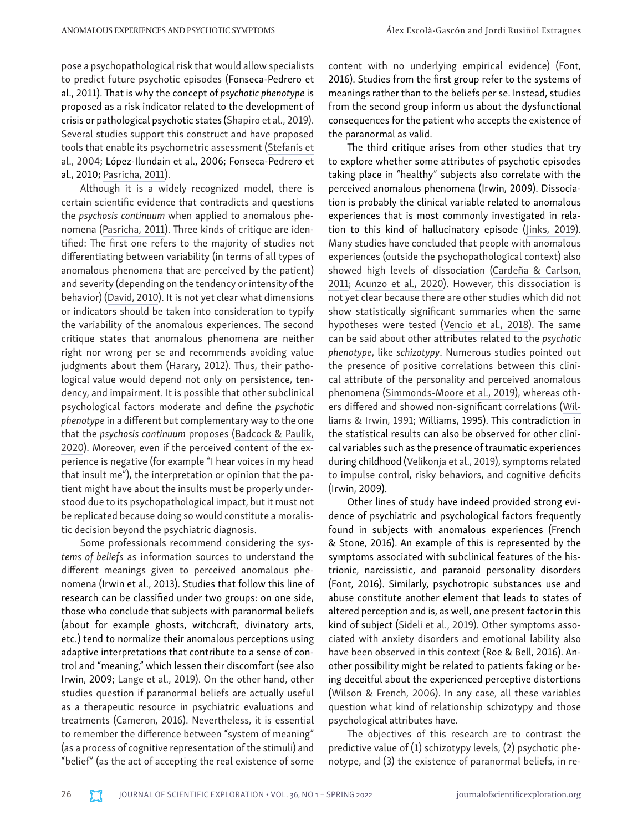pose a psychopathological risk that would allow specialists to predict future psychotic episodes (Fonseca-Pedrero et al., 2011). That is why the concept of *psychotic phenotype* is proposed as a risk indicator related to the development of crisis or pathological psychotic states [\(Shapiro et al., 2019\).](https://doi.org/10.1093/oxfordjournals.schbul.a007083) [Several studies support this construct and have proposed](https://doi.org/10.1093/oxfordjournals.schbul.a007083) [tools that enable its psychometric assessment \(Stefanis et](https://doi.org/10.1093/oxfordjournals.schbul.a007083) [al., 2004](https://doi.org/10.1093/oxfordjournals.schbul.a007083); López-Ilundain et al., 2006; Fonseca-Pedrero et al., 2010; [Pasricha, 2011\)](https://doi.org/10.4103/0019-5545.75544).

Although it is a widely recognized model, there is certain scientific evidence that contradicts and questions the *psychosis continuum* when applied to anomalous phenomena ([Pasricha, 2011\)](https://doi.org/10.4103/0019-5545.75544). Three kinds of critique are identified: The first one refers to the majority of studies not differentiating between variability (in terms of all types of anomalous phenomena that are perceived by the patient) and severity (depending on the tendency or intensity of the behavior) [\(David, 2010\)](https://doi.org/10.1017/s0033291710000188). It is not yet clear what dimensions or indicators should be taken into consideration to typify the variability of the anomalous experiences. The second critique states that anomalous phenomena are neither right nor wrong per se and recommends avoiding value judgments about them (Harary, 2012). Thus, their pathological value would depend not only on persistence, tendency, and impairment. It is possible that other subclinical psychological factors moderate and define the *psychotic phenotype* in a different but complementary way to the one that the *psychosis continuum* proposes ([Badcock & Paulik,](https://doi.org/10.1016/C2017-0-01829-3) [2020](https://doi.org/10.1016/C2017-0-01829-3)). Moreover, even if the perceived content of the experience is negative (for example "I hear voices in my head that insult me"), the interpretation or opinion that the patient might have about the insults must be properly understood due to its psychopathological impact, but it must not be replicated because doing so would constitute a moralistic decision beyond the psychiatric diagnosis.

Some professionals recommend considering the *systems of beliefs* as information sources to understand the different meanings given to perceived anomalous phenomena (Irwin et al., 2013). Studies that follow this line of research can be classified under two groups: on one side, those who conclude that subjects with paranormal beliefs (about for example ghosts, witchcraft, divinatory arts, etc.) tend to normalize their anomalous perceptions using adaptive interpretations that contribute to a sense of control and "meaning," which lessen their discomfort (see also Irwin, 2009; [Lange et al., 2019\)](https://doi.org/10.1037/cns0000187). On the other hand, other studies question if paranormal beliefs are actually useful as a therapeutic resource in psychiatric evaluations and treatments [\(Cameron, 2016\)](https://doi.org/10.1080/13642537.2016.1170060). Nevertheless, it is essential to remember the difference between "system of meaning" (as a process of cognitive representation of the stimuli) and "belief" (as the act of accepting the real existence of some

content with no underlying empirical evidence) (Font, 2016). Studies from the first group refer to the systems of meanings rather than to the beliefs per se. Instead, studies from the second group inform us about the dysfunctional consequences for the patient who accepts the existence of the paranormal as valid.

The third critique arises from other studies that try to explore whether some attributes of psychotic episodes taking place in "healthy" subjects also correlate with the perceived anomalous phenomena (Irwin, 2009). Dissociation is probably the clinical variable related to anomalous experiences that is most commonly investigated in relation to this kind of hallucinatory episode [\(Jinks, 2019\)](https://doi.org/10.1007/978-3-030-28902-7). Many studies have concluded that people with anomalous experiences (outside the psychopathological context) also showed high levels of dissociation [\(Cardeña & Carlson,](https://doi.org/10.1146/annurev-clinpsy-032210-104502)  [2011](https://doi.org/10.1146/annurev-clinpsy-032210-104502); [Acunzo et al., 2020\). However, this dissociation is](https://doi.org/10.1080/15299732.2018.1502715)  [not yet clear because there are other studies which did not](https://doi.org/10.1080/15299732.2018.1502715)  [show statistically significant summaries when the same](https://doi.org/10.1080/15299732.2018.1502715)  [hypotheses were tested \(Vencio et al., 2018](https://doi.org/10.1080/15299732.2018.1502715)). The same can be said about other attributes related to the *psychotic phenotype*, like *schizotypy*. Numerous studies pointed out the presence of positive correlations between this clinical attribute of the personality and perceived anomalous phenomena [\(Simmonds-Moore et al., 2019](https://doi.org/10.1037/cns0000165)), whereas others differed and showed non-significant correlations [\(Wil](https://doi.org/10.1016/0191-8869(91)90210-3)[liams & Irwin, 1991;](https://doi.org/10.1016/0191-8869(91)90210-3) Williams, 1995). This contradiction in the statistical results can also be observed for other clinical variables such as the presence of traumatic experiences during childhood ([Velikonja et al., 2019](https://doi.org/10.1111/acps.13032)), symptoms related to impulse control, risky behaviors, and cognitive deficits (Irwin, 2009).

Other lines of study have indeed provided strong evidence of psychiatric and psychological factors frequently found in subjects with anomalous experiences (French & Stone, 2016). An example of this is represented by the symptoms associated with subclinical features of the histrionic, narcissistic, and paranoid personality disorders (Font, 2016). Similarly, psychotropic substances use and abuse constitute another element that leads to states of altered perception and is, as well, one present factor in this kind of subject ([Sideli et al., 2019\)](https://doi.org/10.1007/s40429-019-0235-1). Other symptoms associated with anxiety disorders and emotional lability also have been observed in this context (Roe & Bell, 2016). Another possibility might be related to patients faking or being deceitful about the experienced perceptive distortions ([Wilson & French, 2006](https://doi.org/10.1016/j.paid.2006.06.008)). In any case, all these variables question what kind of relationship schizotypy and those psychological attributes have.

The objectives of this research are to contrast the predictive value of (1) schizotypy levels, (2) psychotic phenotype, and (3) the existence of paranormal beliefs, in re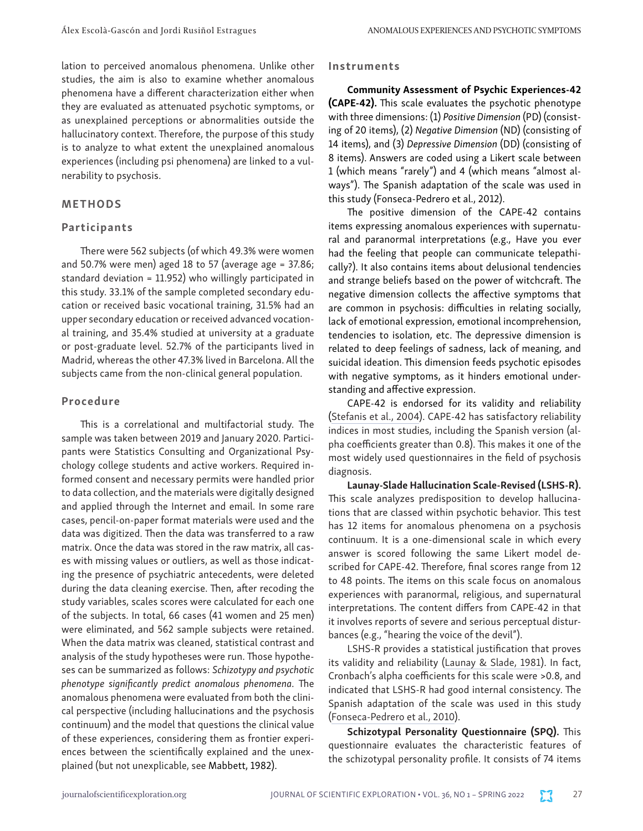lation to perceived anomalous phenomena. Unlike other studies, the aim is also to examine whether anomalous phenomena have a different characterization either when they are evaluated as attenuated psychotic symptoms, or as unexplained perceptions or abnormalities outside the hallucinatory context. Therefore, the purpose of this study is to analyze to what extent the unexplained anomalous experiences (including psi phenomena) are linked to a vulnerability to psychosis.

#### METHODS

#### Participants

There were 562 subjects (of which 49.3% were women and 50.7% were men) aged 18 to 57 (average age = 37.86; standard deviation = 11.952) who willingly participated in this study. 33.1% of the sample completed secondary education or received basic vocational training, 31.5% had an upper secondary education or received advanced vocational training, and 35.4% studied at university at a graduate or post-graduate level. 52.7% of the participants lived in Madrid, whereas the other 47.3% lived in Barcelona. All the subjects came from the non-clinical general population.

#### Procedure

This is a correlational and multifactorial study. The sample was taken between 2019 and January 2020. Participants were Statistics Consulting and Organizational Psychology college students and active workers. Required informed consent and necessary permits were handled prior to data collection, and the materials were digitally designed and applied through the Internet and email. In some rare cases, pencil-on-paper format materials were used and the data was digitized. Then the data was transferred to a raw matrix. Once the data was stored in the raw matrix, all cases with missing values or outliers, as well as those indicating the presence of psychiatric antecedents, were deleted during the data cleaning exercise. Then, after recoding the study variables, scales scores were calculated for each one of the subjects. In total, 66 cases (41 women and 25 men) were eliminated, and 562 sample subjects were retained. When the data matrix was cleaned, statistical contrast and analysis of the study hypotheses were run. Those hypotheses can be summarized as follows: *Schizotypy and psychotic phenotype significantly predict anomalous phenomena*. The anomalous phenomena were evaluated from both the clinical perspective (including hallucinations and the psychosis continuum) and the model that questions the clinical value of these experiences, considering them as frontier experiences between the scientifically explained and the unexplained (but not unexplicable, see Mabbett, 1982).

#### Instruments

Community Assessment of Psychic Experiences-42 (CAPE-42). This scale evaluates the psychotic phenotype with three dimensions: (1) *Positive Dimension* (PD) (consisting of 20 items), (2) *Negative Dimension* (ND) (consisting of 14 items), and (3) *Depressive Dimension* (DD) (consisting of 8 items). Answers are coded using a Likert scale between 1 (which means "rarely") and 4 (which means "almost always"). The Spanish adaptation of the scale was used in this study (Fonseca-Pedrero et al., 2012).

The positive dimension of the CAPE-42 contains items expressing anomalous experiences with supernatural and paranormal interpretations (e.g., Have you ever had the feeling that people can communicate telepathically?). It also contains items about delusional tendencies and strange beliefs based on the power of witchcraft. The negative dimension collects the affective symptoms that are common in psychosis: difficulties in relating socially, lack of emotional expression, emotional incomprehension, tendencies to isolation, etc. The depressive dimension is related to deep feelings of sadness, lack of meaning, and suicidal ideation. This dimension feeds psychotic episodes with negative symptoms, as it hinders emotional understanding and affective expression.

CAPE-42 is endorsed for its validity and reliability ([Stefanis et al., 2004](https://doi.org/10.1093/oxfordjournals.schbul.a007083)). CAPE-42 has satisfactory reliability indices in most studies, including the Spanish version (alpha coefficients greater than 0.8). This makes it one of the most widely used questionnaires in the field of psychosis diagnosis.

Launay-Slade Hallucination Scale-Revised (LSHS-R). This scale analyzes predisposition to develop hallucinations that are classed within psychotic behavior. This test has 12 items for anomalous phenomena on a psychosis continuum. It is a one-dimensional scale in which every answer is scored following the same Likert model described for CAPE-42. Therefore, final scores range from 12 to 48 points. The items on this scale focus on anomalous experiences with paranormal, religious, and supernatural interpretations. The content differs from CAPE-42 in that it involves reports of severe and serious perceptual disturbances (e.g., "hearing the voice of the devil").

LSHS-R provides a statistical justification that proves its validity and reliability ([Launay & Slade, 1981\)](https://doi.org/10.1016/0191-8869(81)90027-1). In fact, Cronbach's alpha coefficients for this scale were >0.8, and indicated that LSHS-R had good internal consistency. The Spanish adaptation of the scale was used in this study ([Fonseca-Pedrero et al., 2010\)](https://revistas.um.es/analesps/article/view/91951).

Schizotypal Personality Questionnaire (SPQ). This questionnaire evaluates the characteristic features of the schizotypal personality profile. It consists of 74 items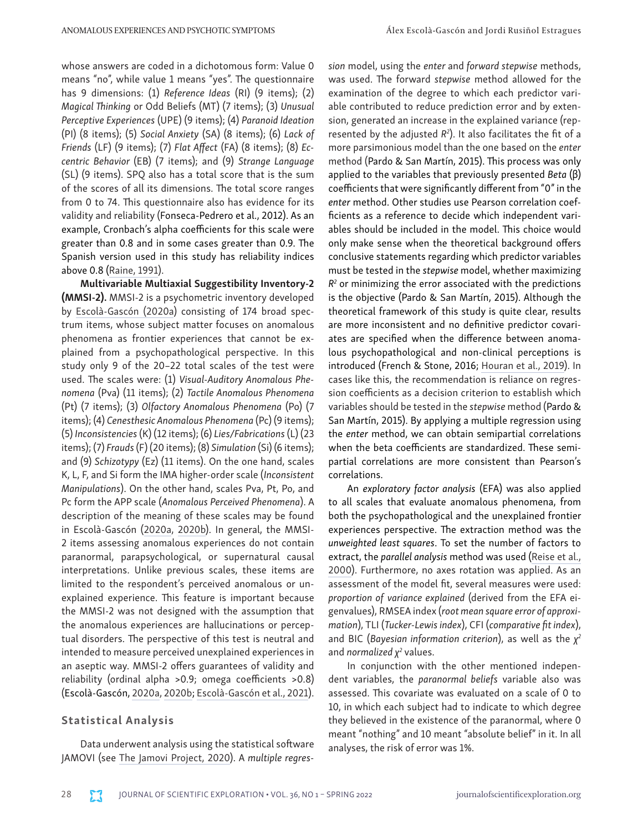whose answers are coded in a dichotomous form: Value 0 means "no", while value 1 means "yes". The questionnaire has 9 dimensions: (1) *Reference Ideas* (RI) (9 items); (2) *Magical Thinking* or Odd Beliefs (MT) (7 items); (3) *Unusual Perceptive Experiences* (UPE) (9 items); (4) *Paranoid Ideation* (PI) (8 items); (5) *Social Anxiety* (SA) (8 items); (6) *Lack of Friends* (LF) (9 items); (7) *Flat Affect* (FA) (8 items); (8) *Eccentric Behavior* (EB) (7 items); and (9) *Strange Language* (SL) (9 items). SPQ also has a total score that is the sum of the scores of all its dimensions. The total score ranges from 0 to 74. This questionnaire also has evidence for its validity and reliability (Fonseca-Pedrero et al., 2012). As an example, Cronbach's alpha coefficients for this scale were greater than 0.8 and in some cases greater than 0.9. The Spanish version used in this study has reliability indices above 0.8 [\(Raine, 1991\)](https://doi.org/10.1093/schbul/17.4.555).

Multivariable Multiaxial Suggestibility Inventory-2 (MMSI-2). MMSI-2 is a psychometric inventory developed by [Escolà-Gascón \(2020a](https://doi.org/10.1016/j.heliyon.2020.e04291)) consisting of 174 broad spectrum items, whose subject matter focuses on anomalous phenomena as frontier experiences that cannot be explained from a psychopathological perspective. In this study only 9 of the 20–22 total scales of the test were used. The scales were: (1) *Visual-Auditory Anomalous Phenomena* (Pva) (11 items); (2) *Tactile Anomalous Phenomena* (Pt) (7 items); (3) *Olfactory Anomalous Phenomena* (Po) (7 items); (4) *Cenesthesic Anomalous Phenomena* (Pc) (9 items); (5) *Inconsistencies* (K) (12 items); (6) *Lies/Fabrications* (L) (23 items); (7) *Frauds* (F) (20 items); (8) *Simulation* (Si) (6 items); and (9) *Schizotypy* (Ez) (11 items). On the one hand, scales K, L, F, and Si form the IMA higher-order scale (*Inconsistent Manipulations*). On the other hand, scales Pva, Pt, Po, and Pc form the APP scale (*Anomalous Perceived Phenomena*). A description of the meaning of these scales may be found in Escolà-Gascón [\(2020a](https://doi.org/10.1016/j.heliyon.2020.e04291), [2020b\)](https://doi.org/10.1016/j.crbeha.2020.100005). In general, the MMSI-2 items assessing anomalous experiences do not contain paranormal, parapsychological, or supernatural causal interpretations. Unlike previous scales, these items are limited to the respondent's perceived anomalous or unexplained experience. This feature is important because the MMSI-2 was not designed with the assumption that the anomalous experiences are hallucinations or perceptual disorders. The perspective of this test is neutral and intended to measure perceived unexplained experiences in an aseptic way. MMSI-2 offers guarantees of validity and reliability (ordinal alpha >0.9; omega coefficients >0.8) (Escolà-Gascón, [2020a](https://doi.org/10.1016/j.heliyon.2020.e04291), [2020b](https://doi.org/10.1016/j.crbeha.2020.100005); [Escolà-Gascón et al., 2021\)](https://doi.org/10.3389/fpsyg.2021.692194).

#### Statistical Analysis

Data underwent analysis using the statistical software JAMOVI (see [The Jamovi Project, 2020\)](https://www.jamovi.org/). A *multiple regres-* *sion* model, using the *enter* and *forward stepwise* methods, was used. The forward *stepwise* method allowed for the examination of the degree to which each predictor variable contributed to reduce prediction error and by extension, generated an increase in the explained variance (represented by the adjusted  $R^2$ ). It also facilitates the fit of a more parsimonious model than the one based on the *enter* method (Pardo & San Martín, 2015). This process was only applied to the variables that previously presented *Beta* (β) coefficients that were significantly different from "0" in the *enter* method. Other studies use Pearson correlation coefficients as a reference to decide which independent variables should be included in the model. This choice would only make sense when the theoretical background offers conclusive statements regarding which predictor variables must be tested in the *stepwise* model, whether maximizing *R2* or minimizing the error associated with the predictions is the objective (Pardo & San Martín, 2015). Although the theoretical framework of this study is quite clear, results are more inconsistent and no definitive predictor covariates are specified when the difference between anomalous psychopathological and non-clinical perceptions is introduced (French & Stone, 2016; [Houran et al., 2019](http://doi.org/10.30891/jopar.2019.01.03)). In cases like this, the recommendation is reliance on regression coefficients as a decision criterion to establish which variables should be tested in the *stepwise* method (Pardo & San Martín, 2015). By applying a multiple regression using the *enter* method, we can obtain semipartial correlations when the beta coefficients are standardized. These semipartial correlations are more consistent than Pearson's correlations.

An *exploratory factor analysis* (EFA) was also applied to all scales that evaluate anomalous phenomena, from both the psychopathological and the unexplained frontier experiences perspective. The extraction method was the *unweighted least squares*. To set the number of factors to extract, the *parallel analysis* method was used [\(Reise et al.,](https://doi.org/10.1037/1040-3590.12.3.287)  [2000\)](https://doi.org/10.1037/1040-3590.12.3.287). Furthermore, no axes rotation was applied. As an assessment of the model fit, several measures were used: *proportion of variance explained* (derived from the EFA eigenvalues), RMSEA index (*root mean square error of approximation*), TLI (*Tucker-Lewis index*), CFI (*comparative fit index*), and BIC (*Bayesian information criterion*), as well as the *χ2* and *normalized*  $χ²$  values.

In conjunction with the other mentioned independent variables, the *paranormal beliefs* variable also was assessed. This covariate was evaluated on a scale of 0 to 10, in which each subject had to indicate to which degree they believed in the existence of the paranormal, where 0 meant "nothing" and 10 meant "absolute belief" in it. In all analyses, the risk of error was 1%.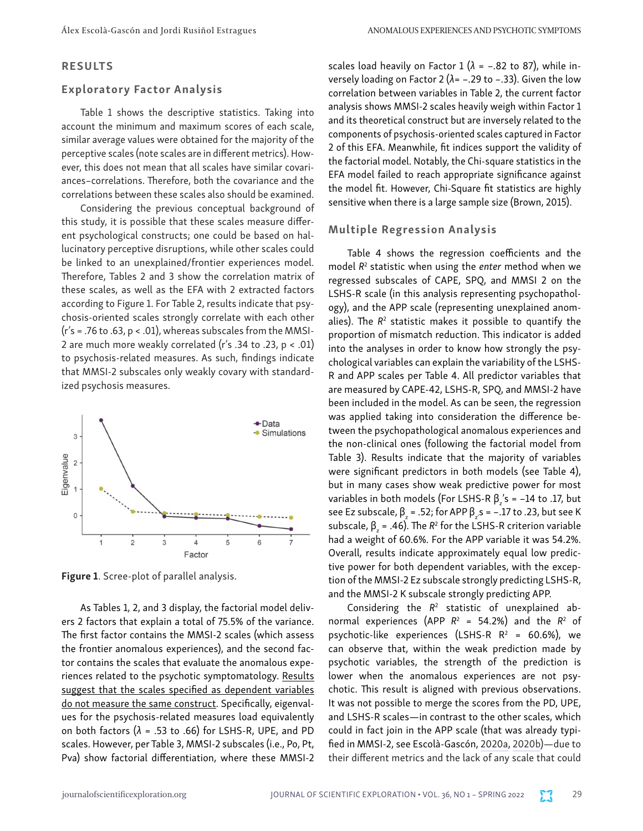#### RESULTS

#### Exploratory Factor Analysis

Table 1 shows the descriptive statistics. Taking into account the minimum and maximum scores of each scale, similar average values were obtained for the majority of the perceptive scales (note scales are in different metrics). However, this does not mean that all scales have similar covariances–correlations. Therefore, both the covariance and the correlations between these scales also should be examined.

Considering the previous conceptual background of this study, it is possible that these scales measure different psychological constructs; one could be based on hallucinatory perceptive disruptions, while other scales could be linked to an unexplained/frontier experiences model. Therefore, Tables 2 and 3 show the correlation matrix of these scales, as well as the EFA with 2 extracted factors according to Figure 1. For Table 2, results indicate that psychosis-oriented scales strongly correlate with each other  $(r's = .76$  to  $.63$ ,  $p < .01$ ), whereas subscales from the MMSI-2 are much more weakly correlated (r's .34 to .23, p < .01) to psychosis-related measures. As such, findings indicate that MMSI-2 subscales only weakly covary with standardized psychosis measures.



Figure 1. Scree-plot of parallel analysis.

As Tables 1, 2, and 3 display, the factorial model delivers 2 factors that explain a total of 75.5% of the variance. The first factor contains the MMSI-2 scales (which assess the frontier anomalous experiences), and the second factor contains the scales that evaluate the anomalous experiences related to the psychotic symptomatology. Results suggest that the scales specified as dependent variables do not measure the same construct. Specifically, eigenvalues for the psychosis-related measures load equivalently on both factors (*λ* = .53 to .66) for LSHS-R, UPE, and PD scales. However, per Table 3, MMSI-2 subscales (i.e., Po, Pt, Pva) show factorial differentiation, where these MMSI-2 scales load heavily on Factor 1 ( $\lambda$  = -.82 to 87), while inversely loading on Factor 2 (*λ*= –.29 to –.33). Given the low correlation between variables in Table 2, the current factor analysis shows MMSI-2 scales heavily weigh within Factor 1 and its theoretical construct but are inversely related to the components of psychosis-oriented scales captured in Factor 2 of this EFA. Meanwhile, fit indices support the validity of the factorial model. Notably, the Chi-square statistics in the EFA model failed to reach appropriate significance against the model fit. However, Chi-Square fit statistics are highly sensitive when there is a large sample size (Brown, 2015).

#### Multiple Regression Analysis

Table 4 shows the regression coefficients and the model *R*<sup>2</sup> statistic when using the *enter* method when we regressed subscales of CAPE, SPQ, and MMSI 2 on the LSHS-R scale (in this analysis representing psychopathology), and the APP scale (representing unexplained anomalies). The R<sup>2</sup> statistic makes it possible to quantify the proportion of mismatch reduction. This indicator is added into the analyses in order to know how strongly the psychological variables can explain the variability of the LSHS-R and APP scales per Table 4. All predictor variables that are measured by CAPE-42, LSHS-R, SPQ, and MMSI-2 have been included in the model. As can be seen, the regression was applied taking into consideration the difference between the psychopathological anomalous experiences and the non-clinical ones (following the factorial model from Table 3). Results indicate that the majority of variables were significant predictors in both models (see Table 4), but in many cases show weak predictive power for most variables in both models (For LSHS-R  $\beta_z$ 's = –14 to .17, but see Ez subscale, β<sub>z</sub> = .52; for APP β<sub>z</sub>.s = –.17 to .23, but see K subscale,  $β_2 = .46$ ). The  $R^2$  for the LSHS-R criterion variable had a weight of 60.6%. For the APP variable it was 54.2%. Overall, results indicate approximately equal low predictive power for both dependent variables, with the exception of the MMSI-2 Ez subscale strongly predicting LSHS-R, and the MMSI-2 K subscale strongly predicting APP.

Considering the  $R<sup>2</sup>$  statistic of unexplained abnormal experiences (APP *R*<sup>2</sup> = 54.2%) and the *R*<sup>2</sup> of psychotic-like experiences (LSHS-R  $R^2$  = 60.6%), we can observe that, within the weak prediction made by psychotic variables, the strength of the prediction is lower when the anomalous experiences are not psychotic. This result is aligned with previous observations. It was not possible to merge the scores from the PD, UPE, and LSHS-R scales—in contrast to the other scales, which could in fact join in the APP scale (that was already typified in MMSI-2, see Escolà-Gascón, [2020a,](https://doi.org/10.1016/j.heliyon.2020.e04291) [2020b\)](https://doi.org/10.1016/j.crbeha.2020.100005)—due to their different metrics and the lack of any scale that could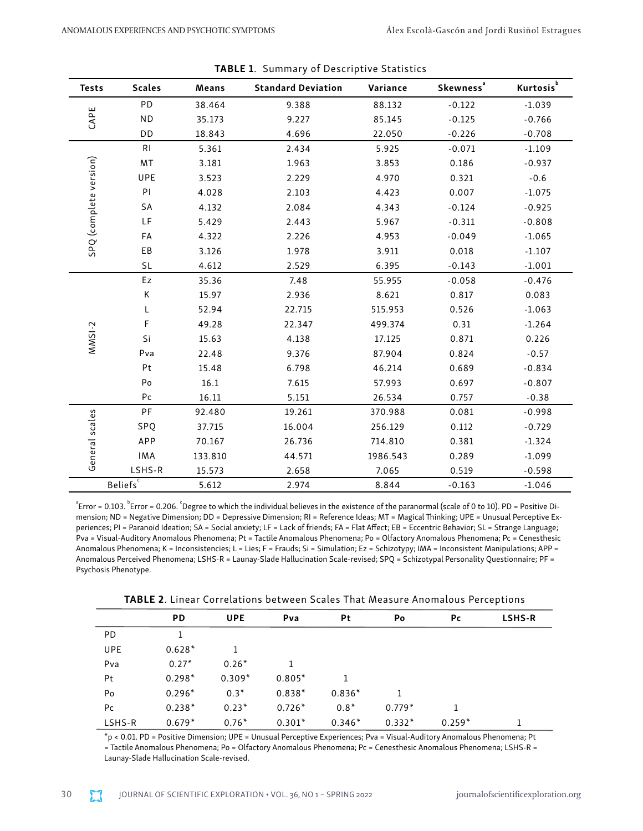| <b>Tests</b>           | <b>Scales</b>                 | Means   | <b>Standard Deviation</b> | Variance | ${\bf Skewness}^a$ | Kurtosis <sup>b</sup> |
|------------------------|-------------------------------|---------|---------------------------|----------|--------------------|-----------------------|
|                        | PD                            | 38.464  | 9.388                     | 88.132   | $-0.122$           | $-1.039$              |
| CAPE                   | <b>ND</b>                     | 35.173  | 9.227                     | 85.145   | $-0.125$           | $-0.766$              |
|                        | DD                            | 18.843  | 4.696                     | 22.050   | $-0.226$           | $-0.708$              |
|                        | R <sub>l</sub>                | 5.361   | 2.434                     | 5.925    | $-0.071$           | $-1.109$              |
|                        | MT                            | 3.181   | 1.963                     | 3.853    | 0.186              | $-0.937$              |
|                        | UPE                           | 3.523   | 2.229                     | 4.970    | 0.321              | $-0.6$                |
|                        | PI                            | 4.028   | 2.103                     | 4.423    | 0.007              | $-1.075$              |
|                        | SA                            | 4.132   | 2.084                     | 4.343    | $-0.124$           | $-0.925$              |
|                        | LF                            | 5.429   | 2.443                     | 5.967    | $-0.311$           | $-0.808$              |
| SPQ (complete version) | FA                            | 4.322   | 2.226                     | 4.953    | $-0.049$           | $-1.065$              |
|                        | EB                            | 3.126   | 1.978                     | 3.911    | 0.018              | $-1.107$              |
|                        | SL                            | 4.612   | 2.529                     | 6.395    | $-0.143$           | $-1.001$              |
|                        | Ez                            | 35.36   | 7.48                      | 55.955   | $-0.058$           | $-0.476$              |
|                        | Κ                             | 15.97   | 2.936                     | 8.621    | 0.817              | 0.083                 |
|                        | L                             | 52.94   | 22.715                    | 515.953  | 0.526              | $-1.063$              |
|                        | F                             | 49.28   | 22.347                    | 499.374  | 0.31               | $-1.264$              |
| $MMSI-2$               | Si                            | 15.63   | 4.138                     | 17.125   | 0.871              | 0.226                 |
|                        | Pva                           | 22.48   | 9.376                     | 87.904   | 0.824              | $-0.57$               |
|                        | Pt                            | 15.48   | 6.798                     | 46.214   | 0.689              | $-0.834$              |
|                        | Po                            | 16.1    | 7.615                     | 57.993   | 0.697              | $-0.807$              |
|                        | Pc                            | 16.11   | 5.151                     | 26.534   | 0.757              | $-0.38$               |
|                        | PF                            | 92.480  | 19.261                    | 370.988  | 0.081              | $-0.998$              |
|                        | SPQ                           | 37.715  | 16.004                    | 256.129  | 0.112              | $-0.729$              |
|                        | APP                           | 70.167  | 26.736                    | 714.810  | 0.381              | $-1.324$              |
| General scales         | IMA                           | 133.810 | 44.571                    | 1986.543 | 0.289              | $-1.099$              |
|                        | LSHS-R                        | 15.573  | 2.658                     | 7.065    | 0.519              | $-0.598$              |
|                        | $\mathsf{Beliefs}^\mathsf{c}$ | 5.612   | 2.974                     | 8.844    | $-0.163$           | $-1.046$              |

TABLE 1. Summary of Descriptive Statistics

<sup>a</sup> Error = 0.103. Frror = 0.206. Degree to which the individual believes in the existence of the paranormal (scale of 0 to 10). PD = Positive Dimension; ND = Negative Dimension; DD = Depressive Dimension; RI = Reference Ideas; MT = Magical Thinking; UPE = Unusual Perceptive Experiences; PI = Paranoid Ideation; SA = Social anxiety; LF = Lack of friends; FA = Flat Affect; EB = Eccentric Behavior; SL = Strange Language; Pva = Visual-Auditory Anomalous Phenomena; Pt = Tactile Anomalous Phenomena; Po = Olfactory Anomalous Phenomena; Pc = Cenesthesic Anomalous Phenomena; K = Inconsistencies; L = Lies; F = Frauds; Si = Simulation; Ez = Schizotypy; IMA = Inconsistent Manipulations; APP = Anomalous Perceived Phenomena; LSHS-R = Launay-Slade Hallucination Scale-revised; SPQ = Schizotypal Personality Questionnaire; PF = Psychosis Phenotype.

TABLE 2. Linear Correlations between Scales That Measure Anomalous Perceptions

|            | <b>PD</b> | <b>UPE</b> | Pva      | Pt       | Po       | <b>Pc</b> | <b>LSHS-R</b> |  |
|------------|-----------|------------|----------|----------|----------|-----------|---------------|--|
| PD.        |           |            |          |          |          |           |               |  |
| <b>UPE</b> | $0.628*$  |            |          |          |          |           |               |  |
| Pva        | $0.27*$   | $0.26*$    |          |          |          |           |               |  |
| Pt         | $0.298*$  | $0.309*$   | $0.805*$ |          |          |           |               |  |
| Po         | $0.296*$  | $0.3*$     | $0.838*$ | $0.836*$ |          |           |               |  |
| Pc         | $0.238*$  | $0.23*$    | $0.726*$ | $0.8*$   | $0.779*$ |           |               |  |
| LSHS-R     | $0.679*$  | $0.76*$    | $0.301*$ | $0.346*$ | $0.332*$ | $0.259*$  |               |  |

\*p < 0.01. PD = Positive Dimension; UPE = Unusual Perceptive Experiences; Pva = Visual-Auditory Anomalous Phenomena; Pt = Tactile Anomalous Phenomena; Po = Olfactory Anomalous Phenomena; Pc = Cenesthesic Anomalous Phenomena; LSHS-R = Launay-Slade Hallucination Scale-revised.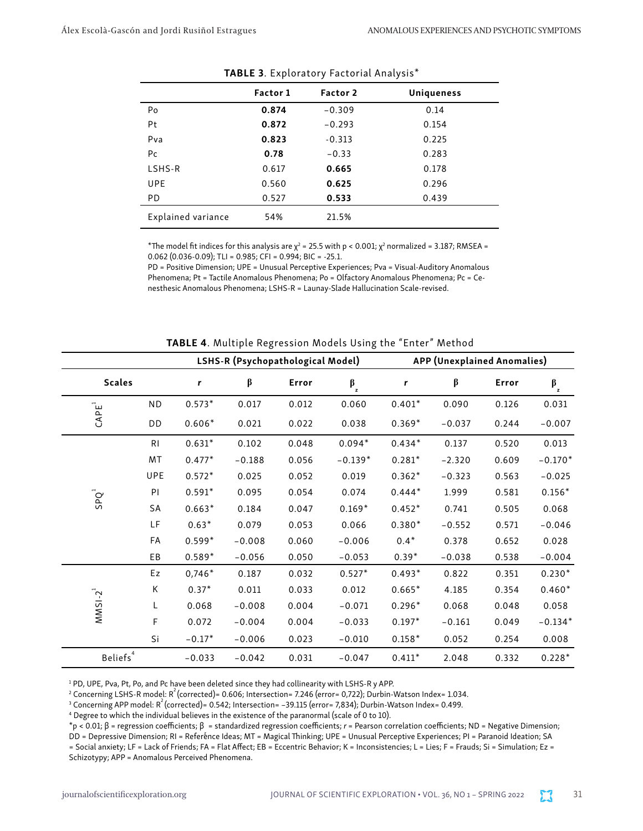|                    | Factor 1 | Factor 2 | <b>Uniqueness</b> |
|--------------------|----------|----------|-------------------|
| Po                 | 0.874    | $-0.309$ | 0.14              |
| Pt                 | 0.872    | $-0.293$ | 0.154             |
| Pva                | 0.823    | $-0.313$ | 0.225             |
| Pc                 | 0.78     | $-0.33$  | 0.283             |
| LSHS-R             | 0.617    | 0.665    | 0.178             |
| <b>UPE</b>         | 0.560    | 0.625    | 0.296             |
| PD.                | 0.527    | 0.533    | 0.439             |
| Explained variance | 54%      | 21.5%    |                   |

| TABLE 3. Exploratory Factorial Analysis* |  |  |
|------------------------------------------|--|--|
|------------------------------------------|--|--|

\*The model fit indices for this analysis are  $\chi^2$  = 25.5 with p < 0.001;  $\chi^2$  normalized = 3.187; RMSEA =  $0.062$  (0.036-0.09); TLI = 0.985; CFI = 0.994; BIC = -25.1.

PD = Positive Dimension; UPE = Unusual Perceptive Experiences; Pva = Visual-Auditory Anomalous Phenomena; Pt = Tactile Anomalous Phenomena; Po = Olfactory Anomalous Phenomena; Pc = Cenesthesic Anomalous Phenomena; LSHS-R = Launay-Slade Hallucination Scale-revised.

|                      |                |          | LSHS-R (Psychopathological Model) |       |                    | <b>APP (Unexplained Anomalies)</b> |          |       |                |  |
|----------------------|----------------|----------|-----------------------------------|-------|--------------------|------------------------------------|----------|-------|----------------|--|
| <b>Scales</b>        |                | r        | β                                 | Error | $\beta_{_{\rm z}}$ | r                                  | β        | Error | $\beta_{_{z}}$ |  |
|                      | <b>ND</b>      | $0.573*$ | 0.017                             | 0.012 | 0.060              | $0.401*$                           | 0.090    | 0.126 | 0.031          |  |
| $CAPE^1$             | DD             | $0.606*$ | 0.021                             | 0.022 | 0.038              | $0.369*$                           | $-0.037$ | 0.244 | $-0.007$       |  |
|                      | R <sub>1</sub> | $0.631*$ | 0.102                             | 0.048 | $0.094*$           | $0.434*$                           | 0.137    | 0.520 | 0.013          |  |
|                      | MT             | $0.477*$ | $-0.188$                          | 0.056 | $-0.139*$          | $0.281*$                           | $-2.320$ | 0.609 | $-0.170*$      |  |
|                      | UPE            | $0.572*$ | 0.025                             | 0.052 | 0.019              | $0.362*$                           | $-0.323$ | 0.563 | $-0.025$       |  |
| SPQ <sup>1</sup>     | PI             | $0.591*$ | 0.095                             | 0.054 | 0.074              | $0.444*$                           | 1.999    | 0.581 | $0.156*$       |  |
|                      | SA             | $0.663*$ | 0.184                             | 0.047 | $0.169*$           | $0.452*$                           | 0.741    | 0.505 | 0.068          |  |
|                      | LF             | $0.63*$  | 0.079                             | 0.053 | 0.066              | $0.380*$                           | $-0.552$ | 0.571 | $-0.046$       |  |
|                      | FA             | $0.599*$ | $-0.008$                          | 0.060 | $-0.006$           | $0.4*$                             | 0.378    | 0.652 | 0.028          |  |
|                      | EB             | $0.589*$ | $-0.056$                          | 0.050 | $-0.053$           | $0.39*$                            | $-0.038$ | 0.538 | $-0.004$       |  |
|                      | Ez             | $0,746*$ | 0.187                             | 0.032 | $0.527*$           | $0.493*$                           | 0.822    | 0.351 | $0.230*$       |  |
|                      | Κ              | $0.37*$  | 0.011                             | 0.033 | 0.012              | $0.665*$                           | 4.185    | 0.354 | $0.460*$       |  |
| $MMSI - 21$          | L              | 0.068    | $-0.008$                          | 0.004 | $-0.071$           | $0.296*$                           | 0.068    | 0.048 | 0.058          |  |
|                      | F              | 0.072    | $-0.004$                          | 0.004 | $-0.033$           | $0.197*$                           | $-0.161$ | 0.049 | $-0.134*$      |  |
|                      | Si             | $-0.17*$ | $-0.006$                          | 0.023 | $-0.010$           | $0.158*$                           | 0.052    | 0.254 | 0.008          |  |
| Beliefs <sup>4</sup> |                | $-0.033$ | $-0.042$                          | 0.031 | $-0.047$           | $0.411*$                           | 2.048    | 0.332 | $0.228*$       |  |

TABLE 4. Multiple Regression Models Using the "Enter" Method

<sup>1</sup> PD, UPE, Pva, Pt, Po, and Pc have been deleted since they had collinearity with LSHS-R y APP.

<sup>2</sup> Concerning LSHS-R model: R<sup>2</sup> (corrected) = 0.606; Intersection = 7.246 (error = 0,722); Durbin-Watson Index = 1.034.

<sup>3</sup> Concerning APP model: R<sup>2</sup> (corrected)= 0.542; Intersection= -39.115 (error= 7,834); Durbin-Watson Index= 0.499.

<sup>4</sup> Degree to which the individual believes in the existence of the paranormal (scale of 0 to 10).

\*p < 0.01; β = regression coefficients; β = standardized regression coefficients; r = Pearson correlation coefficients; ND = Negative Dimension; DD = Depressive Dimension; RI = Referénce Ideas; MT = Magical Thinking; UPE = Unusual Perceptive Experiences; PI = Paranoid Ideation; SA = Social anxiety; LF = Lack of Friends; FA = Flat Affect; EB = Eccentric Behavior; K = Inconsistencies; L = Lies; F = Frauds; Si = Simulation; Ez = Schizotypy; APP = Anomalous Perceived Phenomena.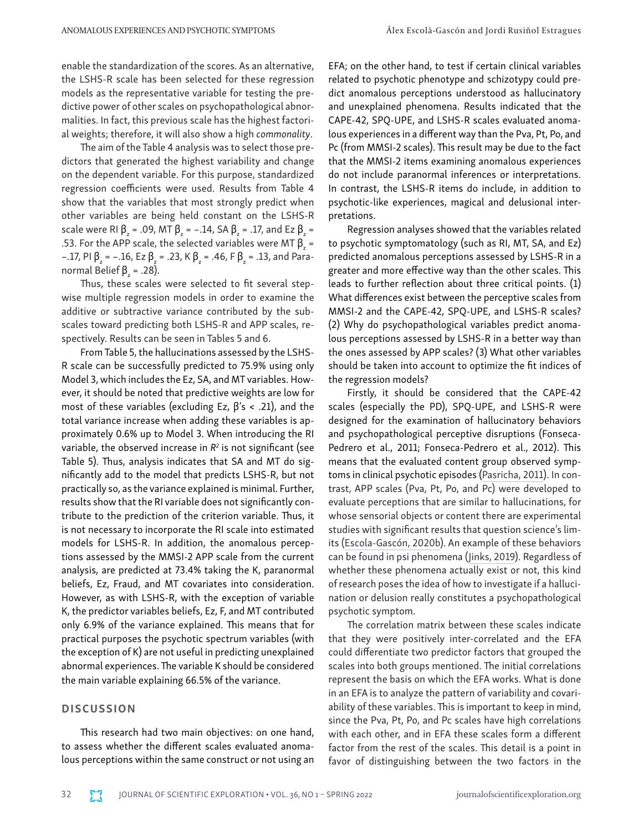enable the standardization of the scores. As an alternative, the LSHS-R scale has been selected for these regression models as the representative variable for testing the predictive power of other scales on psychopathological abnormalities. In fact, this previous scale has the highest factorial weights; therefore, it will also show a high *commonality*.

The aim of the Table 4 analysis was to select those predictors that generated the highest variability and change on the dependent variable. For this purpose, standardized regression coefficients were used. Results from Table 4 show that the variables that most strongly predict when other variables are being held constant on the LSHS-R scale were RI β<sub>z</sub> = .09, MT β<sub>z</sub> = -.14, SA β<sub>z</sub> = .17, and Ez β<sub>z</sub> = .53. For the APP scale, the selected variables were MT  $\beta_z$  = –.17, PI β<sub>z</sub> = –.16, Ez β<sub>z</sub> = .23, K β<sub>z</sub> = .46, F β<sub>z</sub> = .13, and Paranormal Belief  $\beta_z$  = .28).

Thus, these scales were selected to fit several stepwise multiple regression models in order to examine the additive or subtractive variance contributed by the subscales toward predicting both LSHS-R and APP scales, respectively. Results can be seen in Tables 5 and 6.

From Table 5, the hallucinations assessed by the LSHS-R scale can be successfully predicted to 75.9% using only Model 3, which includes the Ez, SA, and MT variables. However, it should be noted that predictive weights are low for most of these variables (excluding Ez,  $β's < .21$ ), and the total variance increase when adding these variables is approximately 0.6% up to Model 3. When introducing the RI variable, the observed increase in  $R^2$  is not significant (see Table 5). Thus, analysis indicates that SA and MT do significantly add to the model that predicts LSHS-R, but not practically so, as the variance explained is minimal. Further, results show that the RI variable does not significantly contribute to the prediction of the criterion variable. Thus, it is not necessary to incorporate the RI scale into estimated models for LSHS-R. In addition, the anomalous perceptions assessed by the MMSI-2 APP scale from the current analysis, are predicted at 73.4% taking the K, paranormal beliefs, Ez, Fraud, and MT covariates into consideration. However, as with LSHS-R, with the exception of variable K, the predictor variables beliefs, Ez, F, and MT contributed only 6.9% of the variance explained. This means that for practical purposes the psychotic spectrum variables (with the exception of K) are not useful in predicting unexplained abnormal experiences. The variable K should be considered the main variable explaining 66.5% of the variance.

#### **DISCUSSION**

This research had two main objectives: on one hand, to assess whether the different scales evaluated anomalous perceptions within the same construct or not using an

EFA; on the other hand, to test if certain clinical variables related to psychotic phenotype and schizotypy could predict anomalous perceptions understood as hallucinatory and unexplained phenomena. Results indicated that the CAPE-42, SPQ-UPE, and LSHS-R scales evaluated anomalous experiences in a different way than the Pva, Pt, Po, and Pc (from MMSI-2 scales). This result may be due to the fact that the MMSI-2 items examining anomalous experiences do not include paranormal inferences or interpretations. In contrast, the LSHS-R items do include, in addition to psychotic-like experiences, magical and delusional interpretations.

Regression analyses showed that the variables related to psychotic symptomatology (such as RI, MT, SA, and Ez) predicted anomalous perceptions assessed by LSHS-R in a greater and more effective way than the other scales. This leads to further reflection about three critical points. (1) What differences exist between the perceptive scales from MMSI-2 and the CAPE-42, SPQ-UPE, and LSHS-R scales? (2) Why do psychopathological variables predict anomalous perceptions assessed by LSHS-R in a better way than the ones assessed by APP scales? (3) What other variables should be taken into account to optimize the fit indices of the regression models?

Firstly, it should be considered that the CAPE-42 scales (especially the PD), SPQ-UPE, and LSHS-R were designed for the examination of hallucinatory behaviors and psychopathological perceptive disruptions (Fonseca-Pedrero et al., 2011; Fonseca-Pedrero et al., 2012). This means that the evaluated content group observed symptoms in clinical psychotic episodes [\(Pasricha, 2011\)](https://doi.org/10.4103/0019-5545.75544). In contrast, APP scales (Pva, Pt, Po, and Pc) were developed to evaluate perceptions that are similar to hallucinations, for whose sensorial objects or content there are experimental studies with significant results that question science's limits [\(Escola-Gascón, 2020b](https://doi.org/10.1016/j.crbeha.2020.100005)). An example of these behaviors can be found in psi phenomena [\(Jinks, 2019](https://doi.org/10.1007/978-3-030-28902-7)). Regardless of whether these phenomena actually exist or not, this kind of research poses the idea of how to investigate if a hallucination or delusion really constitutes a psychopathological psychotic symptom.

The correlation matrix between these scales indicate that they were positively inter-correlated and the EFA could differentiate two predictor factors that grouped the scales into both groups mentioned. The initial correlations represent the basis on which the EFA works. What is done in an EFA is to analyze the pattern of variability and covariability of these variables. This is important to keep in mind, since the Pva, Pt, Po, and Pc scales have high correlations with each other, and in EFA these scales form a different factor from the rest of the scales. This detail is a point in favor of distinguishing between the two factors in the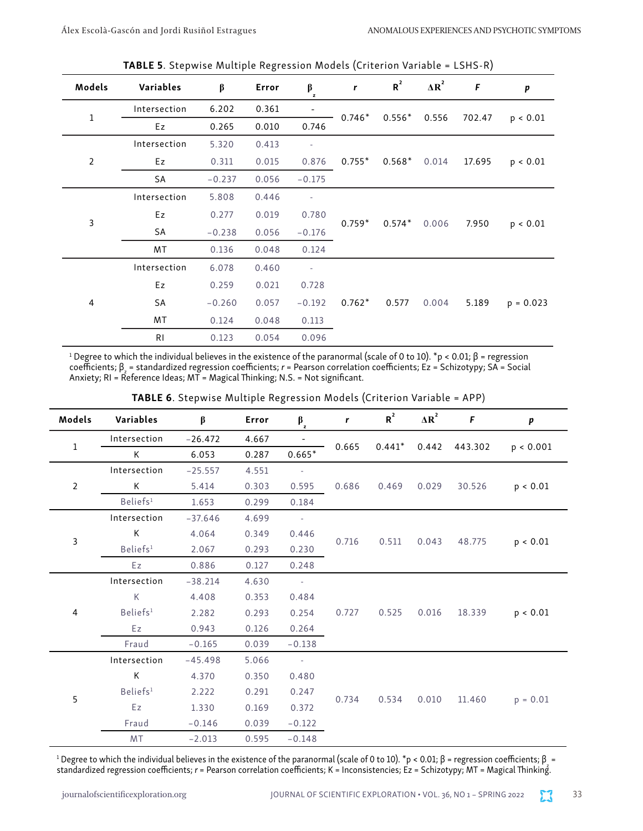| Models         | Variables    | $\beta$  | Error | $\beta$<br>z             | r        | $R^2$    | $\Delta R^2$ | F      | p           |
|----------------|--------------|----------|-------|--------------------------|----------|----------|--------------|--------|-------------|
|                | Intersection | 6.202    | 0.361 |                          |          | $0.556*$ |              | 702.47 | p < 0.01    |
| $\mathbf 1$    | Ez           | 0.265    | 0.010 | 0.746                    | $0.746*$ |          | 0.556        |        |             |
|                | Intersection | 5.320    | 0.413 | $\overline{\phantom{a}}$ |          | $0.568*$ |              | 17.695 | p < 0.01    |
| $\mathbf 2$    | Ez           | 0.311    | 0.015 | 0.876                    | $0.755*$ |          | 0.014        |        |             |
|                | SA           | $-0.237$ | 0.056 | $-0.175$                 |          |          |              |        |             |
|                | Intersection | 5.808    | 0.446 | $\overline{\phantom{a}}$ | $0.759*$ | $0.574*$ | 0.006        | 7.950  | p < 0.01    |
| $\overline{3}$ | Ez           | 0.277    | 0.019 | 0.780                    |          |          |              |        |             |
|                | SA           | $-0.238$ | 0.056 | $-0.176$                 |          |          |              |        |             |
|                | MT           | 0.136    | 0.048 | 0.124                    |          |          |              |        |             |
|                | Intersection | 6.078    | 0.460 | $\overline{\phantom{a}}$ |          |          |              |        |             |
|                | Ez           | 0.259    | 0.021 | 0.728                    |          |          |              |        |             |
| $\overline{4}$ | SA           | $-0.260$ | 0.057 | $-0.192$                 | $0.762*$ | 0.577    | 0.004        | 5.189  | $p = 0.023$ |
|                | MT           | 0.124    | 0.048 | 0.113                    |          |          |              |        |             |
|                | RI           | 0.123    | 0.054 | 0.096                    |          |          |              |        |             |

TABLE 5. Stepwise Multiple Regression Models (Criterion Variable = LSHS-R)

<sup>1</sup> Degree to which the individual believes in the existence of the paranormal (scale of 0 to 10). \*p < 0.01;  $\beta$  = regression coefficients;  $\beta$  = standardized regression coefficients;  $r =$  Pearson correlation coefficients; Ez = Schizotypy; SA = Social Anxiety; RI = Reference Ideas;  $M\overline{T}$  = Magical Thinking; N.S. = Not significant.

| Models         | Variables            | $\beta$   | Error | $\beta_z$      | r     | $R^2$    | $\Delta R^2$ | F       | $\pmb{p}$  |
|----------------|----------------------|-----------|-------|----------------|-------|----------|--------------|---------|------------|
| 1              | Intersection         | $-26.472$ | 4.667 | $\blacksquare$ |       |          |              | 443.302 | p < 0.001  |
|                | K                    | 6.053     | 0.287 | $0.665*$       | 0.665 | $0.441*$ | 0.442        |         |            |
|                | Intersection         | $-25.557$ | 4.551 | $\sim$         |       |          |              |         |            |
| $\overline{2}$ | K                    | 5.414     | 0.303 | 0.595          | 0.686 | 0.469    | 0.029        | 30.526  | p < 0.01   |
|                | Beliefs <sup>1</sup> | 1.653     | 0.299 | 0.184          |       |          |              |         |            |
|                | Intersection         | $-37.646$ | 4.699 | $\sim$ $\sim$  |       |          | 0.043        | 48.775  | p < 0.01   |
| 3              | Κ                    | 4.064     | 0.349 | 0.446          |       | 0.511    |              |         |            |
|                | Beliefs <sup>1</sup> | 2.067     | 0.293 | 0.230          | 0.716 |          |              |         |            |
|                | Ez                   | 0.886     | 0.127 | 0.248          |       |          |              |         |            |
|                | Intersection         | $-38.214$ | 4.630 | $\sim$ $\sim$  |       |          | 0.016        | 18.339  | p < 0.01   |
|                | K                    | 4.408     | 0.353 | 0.484          |       | 0.525    |              |         |            |
| 4              | Beliefs <sup>1</sup> | 2.282     | 0.293 | 0.254          | 0.727 |          |              |         |            |
|                | Ez                   | 0.943     | 0.126 | 0.264          |       |          |              |         |            |
|                | Fraud                | $-0.165$  | 0.039 | $-0.138$       |       |          |              |         |            |
|                | Intersection         | $-45.498$ | 5.066 | $\sim 10^7$    |       |          |              |         |            |
|                | K                    | 4.370     | 0.350 | 0.480          |       |          | 0.010        | 11.460  |            |
| 5              | Beliefs <sup>1</sup> | 2.222     | 0.291 | 0.247          |       | 0.534    |              |         |            |
|                | Ez                   | 1.330     | 0.169 | 0.372          | 0.734 |          |              |         | $p = 0.01$ |
|                | Fraud                | $-0.146$  | 0.039 | $-0.122$       |       |          |              |         |            |
|                | MT                   | $-2.013$  | 0.595 | $-0.148$       |       |          |              |         |            |

TABLE 6. Stepwise Multiple Regression Models (Criterion Variable = APP)

<sup>1</sup> Degree to which the individual believes in the existence of the paranormal (scale of 0 to 10).  $*$ p < 0.01;  $\beta$  = regression coefficients;  $\beta$  = standardized regression coefficients; r = Pearson correlation coefficients; K = Inconsistencies; Ez = Schizotypy; MT = Magical Thinking.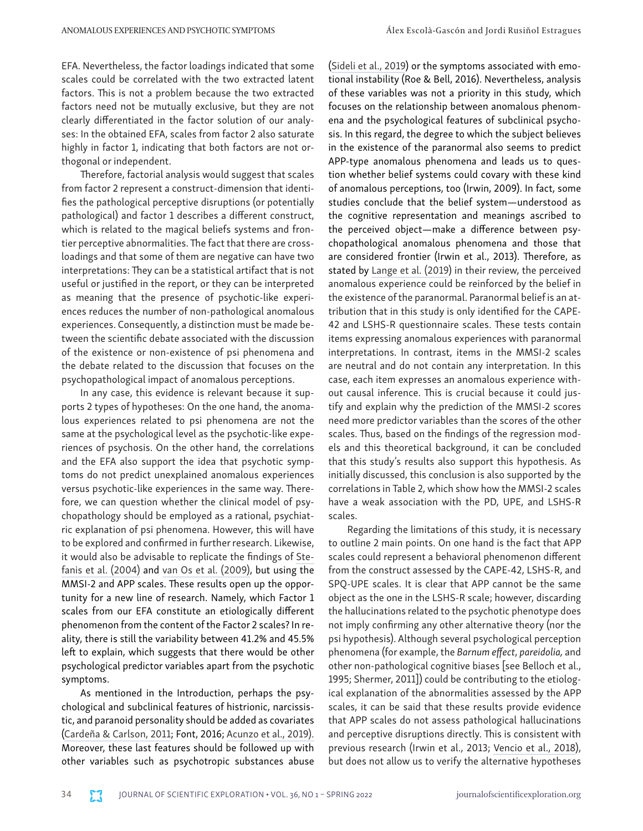EFA. Nevertheless, the factor loadings indicated that some scales could be correlated with the two extracted latent factors. This is not a problem because the two extracted factors need not be mutually exclusive, but they are not clearly differentiated in the factor solution of our analyses: In the obtained EFA, scales from factor 2 also saturate highly in factor 1, indicating that both factors are not orthogonal or independent.

Therefore, factorial analysis would suggest that scales from factor 2 represent a construct-dimension that identifies the pathological perceptive disruptions (or potentially pathological) and factor 1 describes a different construct, which is related to the magical beliefs systems and frontier perceptive abnormalities. The fact that there are crossloadings and that some of them are negative can have two interpretations: They can be a statistical artifact that is not useful or justified in the report, or they can be interpreted as meaning that the presence of psychotic-like experiences reduces the number of non-pathological anomalous experiences. Consequently, a distinction must be made between the scientific debate associated with the discussion of the existence or non-existence of psi phenomena and the debate related to the discussion that focuses on the psychopathological impact of anomalous perceptions.

In any case, this evidence is relevant because it supports 2 types of hypotheses: On the one hand, the anomalous experiences related to psi phenomena are not the same at the psychological level as the psychotic-like experiences of psychosis. On the other hand, the correlations and the EFA also support the idea that psychotic symptoms do not predict unexplained anomalous experiences versus psychotic-like experiences in the same way. Therefore, we can question whether the clinical model of psychopathology should be employed as a rational, psychiatric explanation of psi phenomena. However, this will have to be explored and confirmed in further research. Likewise, it would also be advisable to replicate the findings of [Ste](https://doi.org/10.1093/oxfordjournals.schbul.a007083)[fanis et al. \(2004\)](https://doi.org/10.1093/oxfordjournals.schbul.a007083) and [van Os et al. \(2009\)](https://doi.org/10.1017/s0033291708003814), but using the MMSI-2 and APP scales. These results open up the opportunity for a new line of research. Namely, which Factor 1 scales from our EFA constitute an etiologically different phenomenon from the content of the Factor 2 scales? In reality, there is still the variability between 41.2% and 45.5% left to explain, which suggests that there would be other psychological predictor variables apart from the psychotic symptoms.

As mentioned in the Introduction, perhaps the psychological and subclinical features of histrionic, narcissistic, and paranoid personality should be added as covariates [\(Cardeña & Carlson, 2011;](https://doi.org/10.1146/annurev-clinpsy-032210-104502) Font, 2016; [Acunzo et al., 2019\).](https://doi.org/10.1080/13546805.2020.1715932) Moreover, these last features should be followed up with other variables such as psychotropic substances abuse

([Sideli et al., 2019](https://doi.org/10.1007/s40429-019-0235-1)) or the symptoms associated with emotional instability (Roe & Bell, 2016). Nevertheless, analysis of these variables was not a priority in this study, which focuses on the relationship between anomalous phenomena and the psychological features of subclinical psychosis. In this regard, the degree to which the subject believes in the existence of the paranormal also seems to predict APP-type anomalous phenomena and leads us to question whether belief systems could covary with these kind of anomalous perceptions, too (Irwin, 2009). In fact, some studies conclude that the belief system—understood as the cognitive representation and meanings ascribed to the perceived object—make a difference between psychopathological anomalous phenomena and those that are considered frontier (Irwin et al., 2013). Therefore, as stated by [Lange et al. \(2019](https://doi.org/10.1037/cns0000187)) in their review, the perceived anomalous experience could be reinforced by the belief in the existence of the paranormal. Paranormal belief is an attribution that in this study is only identified for the CAPE-42 and LSHS-R questionnaire scales. These tests contain items expressing anomalous experiences with paranormal interpretations. In contrast, items in the MMSI-2 scales are neutral and do not contain any interpretation. In this case, each item expresses an anomalous experience without causal inference. This is crucial because it could justify and explain why the prediction of the MMSI-2 scores need more predictor variables than the scores of the other scales. Thus, based on the findings of the regression models and this theoretical background, it can be concluded that this study's results also support this hypothesis. As initially discussed, this conclusion is also supported by the correlations in Table 2, which show how the MMSI-2 scales have a weak association with the PD, UPE, and LSHS-R scales.

Regarding the limitations of this study, it is necessary to outline 2 main points. On one hand is the fact that APP scales could represent a behavioral phenomenon different from the construct assessed by the CAPE-42, LSHS-R, and SPQ-UPE scales. It is clear that APP cannot be the same object as the one in the LSHS-R scale; however, discarding the hallucinations related to the psychotic phenotype does not imply confirming any other alternative theory (nor the psi hypothesis). Although several psychological perception phenomena (for example, the *Barnum effect*, *pareidolia,* and other non-pathological cognitive biases [see Belloch et al., 1995; Shermer, 2011]) could be contributing to the etiological explanation of the abnormalities assessed by the APP scales, it can be said that these results provide evidence that APP scales do not assess pathological hallucinations and perceptive disruptions directly. This is consistent with previous research (Irwin et al., 2013; [Vencio et al., 2018\)](https://doi.org/10.1080/15299732.2018.1502715), but does not allow us to verify the alternative hypotheses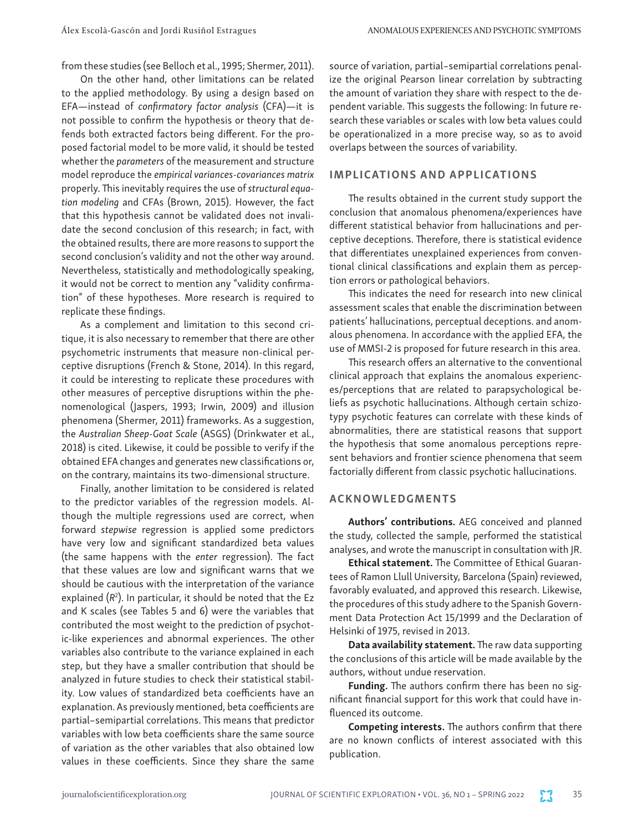from these studies (see Belloch et al., 1995; Shermer, 2011).

On the other hand, other limitations can be related to the applied methodology. By using a design based on EFA—instead of *confirmatory factor analysis* (CFA)—it is not possible to confirm the hypothesis or theory that defends both extracted factors being different. For the proposed factorial model to be more valid, it should be tested whether the *parameters* of the measurement and structure model reproduce the *empirical variances-covariances matrix*  properly. This inevitably requires the use of *structural equation modeling* and CFAs (Brown, 2015). However, the fact that this hypothesis cannot be validated does not invalidate the second conclusion of this research; in fact, with the obtained results, there are more reasons to support the second conclusion's validity and not the other way around. Nevertheless, statistically and methodologically speaking, it would not be correct to mention any "validity confirmation" of these hypotheses. More research is required to replicate these findings.

As a complement and limitation to this second critique, it is also necessary to remember that there are other psychometric instruments that measure non-clinical perceptive disruptions (French & Stone, 2014). In this regard, it could be interesting to replicate these procedures with other measures of perceptive disruptions within the phenomenological (Jaspers, 1993; Irwin, 2009) and illusion phenomena (Shermer, 2011) frameworks. As a suggestion, the *Australian Sheep-Goat Scale* (ASGS) (Drinkwater et al., 2018) is cited. Likewise, it could be possible to verify if the obtained EFA changes and generates new classifications or, on the contrary, maintains its two-dimensional structure.

Finally, another limitation to be considered is related to the predictor variables of the regression models. Although the multiple regressions used are correct, when forward *stepwise* regression is applied some predictors have very low and significant standardized beta values (the same happens with the *enter* regression). The fact that these values are low and significant warns that we should be cautious with the interpretation of the variance explained (*R*<sup>2</sup> ). In particular, it should be noted that the Ez and K scales (see Tables 5 and 6) were the variables that contributed the most weight to the prediction of psychotic-like experiences and abnormal experiences. The other variables also contribute to the variance explained in each step, but they have a smaller contribution that should be analyzed in future studies to check their statistical stability. Low values of standardized beta coefficients have an explanation. As previously mentioned, beta coefficients are partial–semipartial correlations. This means that predictor variables with low beta coefficients share the same source of variation as the other variables that also obtained low values in these coefficients. Since they share the same

source of variation, partial–semipartial correlations penalize the original Pearson linear correlation by subtracting the amount of variation they share with respect to the dependent variable. This suggests the following: In future research these variables or scales with low beta values could be operationalized in a more precise way, so as to avoid overlaps between the sources of variability.

#### IMPLICATIONS AND APPLICATIONS

The results obtained in the current study support the conclusion that anomalous phenomena/experiences have different statistical behavior from hallucinations and perceptive deceptions. Therefore, there is statistical evidence that differentiates unexplained experiences from conventional clinical classifications and explain them as perception errors or pathological behaviors.

This indicates the need for research into new clinical assessment scales that enable the discrimination between patients' hallucinations, perceptual deceptions. and anomalous phenomena. In accordance with the applied EFA, the use of MMSI-2 is proposed for future research in this area.

This research offers an alternative to the conventional clinical approach that explains the anomalous experiences/perceptions that are related to parapsychological beliefs as psychotic hallucinations. Although certain schizotypy psychotic features can correlate with these kinds of abnormalities, there are statistical reasons that support the hypothesis that some anomalous perceptions represent behaviors and frontier science phenomena that seem factorially different from classic psychotic hallucinations.

#### ACKNOWLEDGMENTS

Authors' contributions. AEG conceived and planned the study, collected the sample, performed the statistical analyses, and wrote the manuscript in consultation with JR.

Ethical statement. The Committee of Ethical Guarantees of Ramon Llull University, Barcelona (Spain) reviewed, favorably evaluated, and approved this research. Likewise, the procedures of this study adhere to the Spanish Government Data Protection Act 15/1999 and the Declaration of Helsinki of 1975, revised in 2013.

Data availability statement. The raw data supporting the conclusions of this article will be made available by the authors, without undue reservation.

Funding. The authors confirm there has been no significant financial support for this work that could have influenced its outcome.

Competing interests. The authors confirm that there are no known conflicts of interest associated with this publication.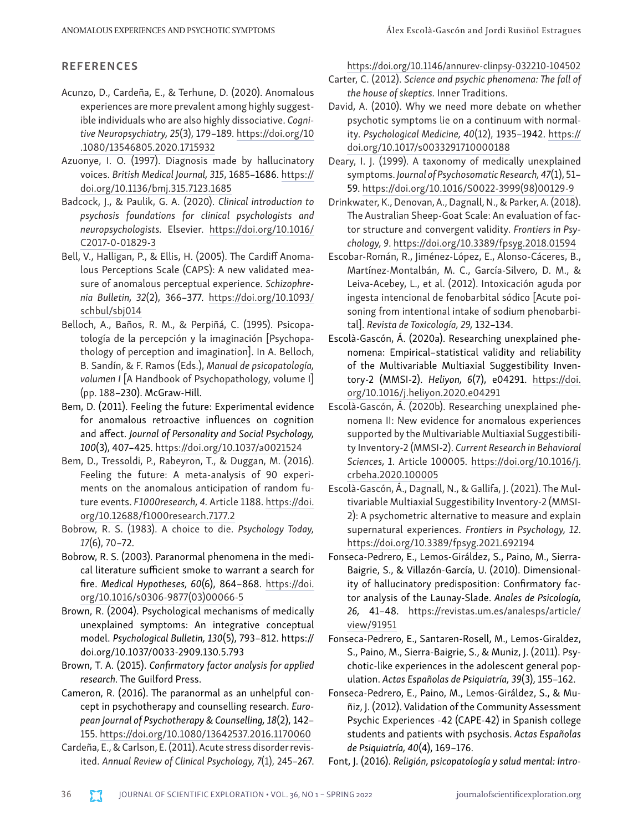#### REFERENCES

- Acunzo, D., Cardeña, E., & Terhune, D. (2020). Anomalous experiences are more prevalent among highly suggestible individuals who are also highly dissociative. *Cognitive Neuropsychiatry, 25*(3), 179–189. [https://doi.org/10](https://doi.org/10.1080/13546805.2020.1715932) [.1080/13546805.2020.1715932](https://doi.org/10.1080/13546805.2020.1715932)
- Azuonye, I. O. (1997). Diagnosis made by hallucinatory voices. *British Medical Journal, 315*, 1685–1686. [https://](https://doi.org/10.1136/bmj.315.7123.1685) [doi.org/10.1136/bmj.315.7123.1685](https://doi.org/10.1136/bmj.315.7123.1685)
- Badcock, J., & Paulik, G. A. (2020). *Clinical introduction to psychosis foundations for clinical psychologists and neuropsychologists.* Elsevier. [https://doi.org/10.1016/](https://doi.org/10.1016/C2017-0-01829-3) [C2017-0-01829-3](https://doi.org/10.1016/C2017-0-01829-3)
- Bell, V., Halligan, P., & Ellis, H. (2005). The Cardiff Anomalous Perceptions Scale (CAPS): A new validated measure of anomalous perceptual experience. *Schizophrenia Bulletin, 32*(2), 366–377. [https://doi.org/10.1093/](https://doi.org/10.1093/schbul/sbj014) [schbul/sbj014](https://doi.org/10.1093/schbul/sbj014)
- Belloch, A., Baños, R. M., & Perpiñá, C. (1995). Psicopatología de la percepción y la imaginación [Psychopathology of perception and imagination]. In A. Belloch, B. Sandín, & F. Ramos (Eds.), *Manual de psicopatología, volumen I* [A Handbook of Psychopathology, volume I] (pp. 188–230). McGraw-Hill.
- Bem, D. (2011). Feeling the future: Experimental evidence for anomalous retroactive influences on cognition and affect. *Journal of Personality and Social Psychology, 100*(3), 407–425. <https://doi.org/10.1037/a0021524>
- Bem, D., Tressoldi, P., Rabeyron, T., & Duggan, M. (2016). Feeling the future: A meta-analysis of 90 experiments on the anomalous anticipation of random future events. *F1000research, 4.* Article 1188. [https://doi.](https://doi.org/10.12688/f1000research.7177.2) [org/10.12688/f1000research.7177.2](https://doi.org/10.12688/f1000research.7177.2)
- Bobrow, R. S. (1983). A choice to die. *Psychology Today, 17*(6), 70–72.
- Bobrow, R. S. (2003). Paranormal phenomena in the medical literature sufficient smoke to warrant a search for fire. *Medical Hypotheses, 60*(6), 864–868. [https://doi.](https://doi.org/10.1016/s0306-9877(03)00066-5) [org/10.1016/s0306-9877\(03\)00066-5](https://doi.org/10.1016/s0306-9877(03)00066-5)
- Brown, R. (2004). Psychological mechanisms of medically unexplained symptoms: An integrative conceptual model. *Psychological Bulletin, 130*(5), 793–812. [https://](https://doi.org/10.1037/0033-2909.130.5.793) [doi.org/10.1037/0033-2909.130.5.793](https://doi.org/10.1037/0033-2909.130.5.793)
- Brown, T. A. (2015). *Confirmatory factor analysis for applied research.* The Guilford Press.
- Cameron, R. (2016). The paranormal as an unhelpful concept in psychotherapy and counselling research. *European Journal of Psychotherapy & Counselling, 18*(2), 142– 155.<https://doi.org/10.1080/13642537.2016.1170060>
- Cardeña, E., & Carlson, E. (2011). Acute stress disorder revisited. *Annual Review of Clinical Psychology, 7*(1), 245–267.

<https://doi.org/10.1146/annurev-clinpsy-032210-104502>

- Carter, C. (2012). *Science and psychic phenomena: The fall of the house of skeptics.* Inner Traditions.
- David, A. (2010). Why we need more debate on whether psychotic symptoms lie on a continuum with normality. *Psychological Medicine, 40*(12), 1935–1942. [https://](https://doi.org/10.1017/s0033291710000188) [doi.org/10.1017/s0033291710000188](https://doi.org/10.1017/s0033291710000188)
- Deary, I. J. (1999). A taxonomy of medically unexplained symptoms. *Journal of Psychosomatic Research, 47*(1), 51– 59. [https://doi.org/10.1016/S0022-3999\(98\)00129-9](https://doi.org/10.1016/S0022-3999(98)00129-9)
- Drinkwater, K., Denovan, A., Dagnall, N., & Parker, A. (2018). The Australian Sheep-Goat Scale: An evaluation of factor structure and convergent validity. *Frontiers in Psychology, 9*. <https://doi.org/10.3389/fpsyg.2018.01594>
- Escobar-Román, R., Jiménez-López, E., Alonso-Cáceres, B., Martínez-Montalbán, M. C., García-Silvero, D. M., & Leiva-Acebey, L., et al. (2012). Intoxicación aguda por ingesta intencional de fenobarbital sódico [Acute poisoning from intentional intake of sodium phenobarbital]. *Revista de Toxicología, 29,* 132–134.
- Escolà-Gascón, Á. (2020a). Researching unexplained phenomena: Empirical–statistical validity and reliability of the Multivariable Multiaxial Suggestibility Inventory-2 (MMSI-2). *Heliyon, 6*(7), e04291. [https://doi.](https://doi.org/10.1016/j.heliyon.2020.e04291) [org/10.1016/j.heliyon.2020.e04291](https://doi.org/10.1016/j.heliyon.2020.e04291)
- Escolà-Gascón, Á. (2020b). Researching unexplained phenomena II: New evidence for anomalous experiences supported by the Multivariable Multiaxial Suggestibility Inventory-2 (MMSI-2). *Current Research in Behavioral Sciences, 1*. Article 100005. [https://doi.org/10.1016/j.](https://doi.org/10.1016/j.crbeha.2020.100005) [crbeha.2020.100005](https://doi.org/10.1016/j.crbeha.2020.100005)
- Escolà-Gascón, Á., Dagnall, N., & Gallifa, J. (2021). The Multivariable Multiaxial Suggestibility Inventory-2 (MMSI-2): A psychometric alternative to measure and explain supernatural experiences. *Frontiers in Psychology, 12*. <https://doi.org/10.3389/fpsyg.2021.692194>
- Fonseca-Pedrero, E., Lemos-Giráldez, S., Paino, M., Sierra-Baigrie, S., & Villazón-García, U. (2010). Dimensionality of hallucinatory predisposition: Confirmatory factor analysis of the Launay-Slade. *Anales de Psicología, 26,* 41–48. [https://revistas.um.es/analesps/article/](https://revistas.um.es/analesps/article/view/91951) [view/91951](https://revistas.um.es/analesps/article/view/91951)
- Fonseca-Pedrero, E., Santaren-Rosell, M., Lemos-Giraldez, S., Paino, M., Sierra-Baigrie, S., & Muniz, J. (2011). Psychotic-like experiences in the adolescent general population. *Actas Españolas de Psiquiatría, 39*(3), 155–162.
- Fonseca-Pedrero, E., Paino, M., Lemos-Giráldez, S., & Muñiz, J. (2012). Validation of the Community Assessment Psychic Experiences -42 (CAPE-42) in Spanish college students and patients with psychosis. *Actas Españolas de Psiquiatría, 40*(4), 169–176.
- Font, J. (2016). *Religión, psicopatología y salud mental: Intro-*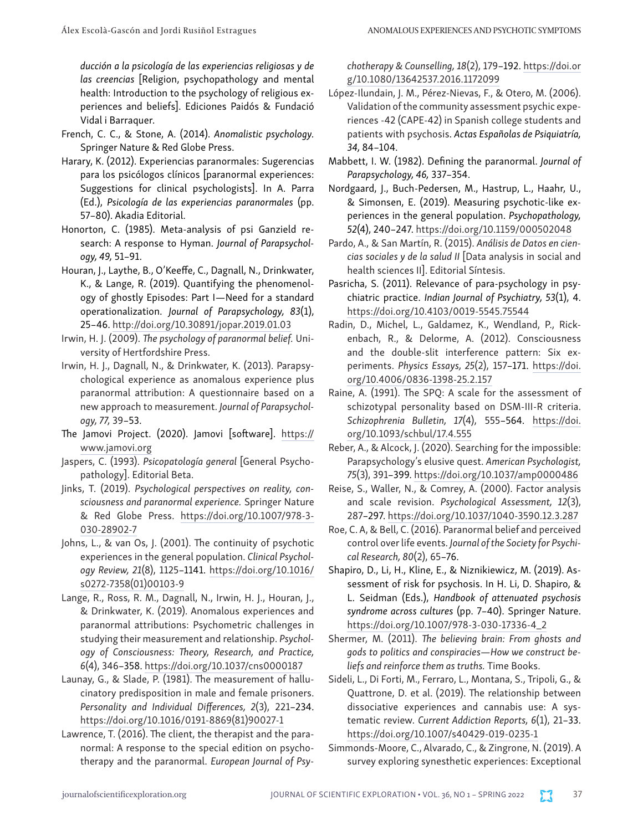*ducción a la psicología de las experiencias religiosas y de las creencias* [Religion, psychopathology and mental health: Introduction to the psychology of religious experiences and beliefs]. Ediciones Paidós & Fundació Vidal i Barraquer.

- French, C. C., & Stone, A. (2014). *Anomalistic psychology.* Springer Nature & Red Globe Press.
- Harary, K. (2012). Experiencias paranormales: Sugerencias para los psicólogos clínicos [paranormal experiences: Suggestions for clinical psychologists]. In A. Parra (Ed.), *Psicología de las experiencias paranormales* (pp. 57–80). Akadia Editorial.
- Honorton, C. (1985). Meta-analysis of psi Ganzield research: A response to Hyman. *Journal of Parapsychology, 49,* 51–91.
- Houran, J., Laythe, B., O'Keeffe, C., Dagnall, N., Drinkwater, K., & Lange, R. (2019). Quantifying the phenomenology of ghostly Episodes: Part I—Need for a standard operationalization. *Journal of Parapsychology, 83*(1), 25–46.<http://doi.org/10.30891/jopar.2019.01.03>
- Irwin, H. J. (2009). *The psychology of paranormal belief.* University of Hertfordshire Press.
- Irwin, H. J., Dagnall, N., & Drinkwater, K. (2013). Parapsychological experience as anomalous experience plus paranormal attribution: A questionnaire based on a new approach to measurement. *Journal of Parapsychology, 77,* 39–53.
- The Jamovi Project. (2020). Jamovi [software]. [https://](https://www.jamovi.org) [www.jamovi.org](https://www.jamovi.org)
- Jaspers, C. (1993). *Psicopatología general* [General Psychopathology]. Editorial Beta.
- Jinks, T. (2019). *Psychological perspectives on reality, consciousness and paranormal experience.* Springer Nature & Red Globe Press. [https://doi.org/10.1007/978-3-](https://doi.org/10.1007/978-3-030-28902-7) [030-28902-7](https://doi.org/10.1007/978-3-030-28902-7)
- Johns, L., & van Os, J. (2001). The continuity of psychotic experiences in the general population. *Clinical Psychology Review, 21*(8), 1125–1141. [https://doi.org/10.1016/](https://doi.org/10.1016/s0272-7358(01)00103-9) [s0272-7358\(01\)00103-9](https://doi.org/10.1016/s0272-7358(01)00103-9)
- Lange, R., Ross, R. M., Dagnall, N., Irwin, H. J., Houran, J., & Drinkwater, K. (2019). Anomalous experiences and paranormal attributions: Psychometric challenges in studying their measurement and relationship. *Psychology of Consciousness: Theory, Research, and Practice, 6*(4), 346–358. <https://doi.org/10.1037/cns0000187>
- Launay, G., & Slade, P. (1981). The measurement of hallucinatory predisposition in male and female prisoners. *Personality and Individual Differences, 2*(3), 221–234. [https://doi.org/10.1016/0191-8869\(81\)90027-1](https://doi.org/10.1016/0191-8869(81)90027-1)
- Lawrence, T. (2016). The client, the therapist and the paranormal: A response to the special edition on psychotherapy and the paranormal. *European Journal of Psy-*

*chotherapy & Counselling, 18*(2), 179–192. [https://doi.or](https://doi.org/10.1080/13642537.2016.1172099) [g/10.1080/13642537.2016.1172099](https://doi.org/10.1080/13642537.2016.1172099)

- López-Ilundain, J. M., Pérez-Nievas, F., & Otero, M. (2006). Validation of the community assessment psychic experiences -42 (CAPE-42) in Spanish college students and patients with psychosis. *Actas Españolas de Psiquiatría, 34,* 84–104.
- Mabbett, I. W. (1982). Defining the paranormal. *Journal of Parapsychology, 46,* 337–354.
- Nordgaard, J., Buch-Pedersen, M., Hastrup, L., Haahr, U., & Simonsen, E. (2019). Measuring psychotic-like experiences in the general population. *Psychopathology, 52*(4), 240–247.<https://doi.org/10.1159/000502048>
- Pardo, A., & San Martín, R. (2015). *Análisis de Datos en ciencias sociales y de la salud II* [Data analysis in social and health sciences II]. Editorial Síntesis.
- Pasricha, S. (2011). Relevance of para-psychology in psychiatric practice. *Indian Journal of Psychiatry, 53*(1), 4. <https://doi.org/10.4103/0019-5545.75544>
- Radin, D., Michel, L., Galdamez, K., Wendland, P., Rickenbach, R., & Delorme, A. (2012). Consciousness and the double-slit interference pattern: Six experiments. *Physics Essays, 25*(2), 157–171. [https://doi.](https://doi.org/10.4006/0836-1398-25.2.157) [org/10.4006/0836-1398-25.2.157](https://doi.org/10.4006/0836-1398-25.2.157)
- Raine, A. (1991). The SPQ: A scale for the assessment of schizotypal personality based on DSM-III-R criteria. *Schizophrenia Bulletin, 17*(4), 555–564. [https://doi.](https://doi.org/10.1093/schbul/17.4.555) [org/10.1093/schbul/17.4.555](https://doi.org/10.1093/schbul/17.4.555)
- Reber, A., & Alcock, J. (2020). Searching for the impossible: Parapsychology's elusive quest. *American Psychologist, 75*(3), 391–399.<https://doi.org/10.1037/amp0000486>
- Reise, S., Waller, N., & Comrey, A. (2000). Factor analysis and scale revision. *Psychological Assessment, 12*(3), 287–297.<https://doi.org/10.1037/1040-3590.12.3.287>
- Roe, C. A, & Bell, C. (2016). Paranormal belief and perceived control over life events. *Journal of the Society for Psychical Research, 80*(2), 65–76.
- Shapiro, D., Li, H., Kline, E., & Niznikiewicz, M. (2019). Assessment of risk for psychosis. In H. Li, D. Shapiro, & L. Seidman (Eds.), *Handbook of attenuated psychosis syndrome across cultures* (pp. 7–40). Springer Nature. [https://doi.org/10.1007/978-3-030-17336-4\\_2](https://doi.org/10.1007/978-3-030-17336-4_2)
- Shermer, M. (2011). *The believing brain: From ghosts and gods to politics and conspiracies—How we construct beliefs and reinforce them as truths.* Time Books.
- Sideli, L., Di Forti, M., Ferraro, L., Montana, S., Tripoli, G., & Quattrone, D. et al. (2019). The relationship between dissociative experiences and cannabis use: A systematic review. *Current Addiction Reports, 6*(1), 21–33. <https://doi.org/10.1007/s40429-019-0235-1>
- Simmonds-Moore, C., Alvarado, C., & Zingrone, N. (2019). A survey exploring synesthetic experiences: Exceptional